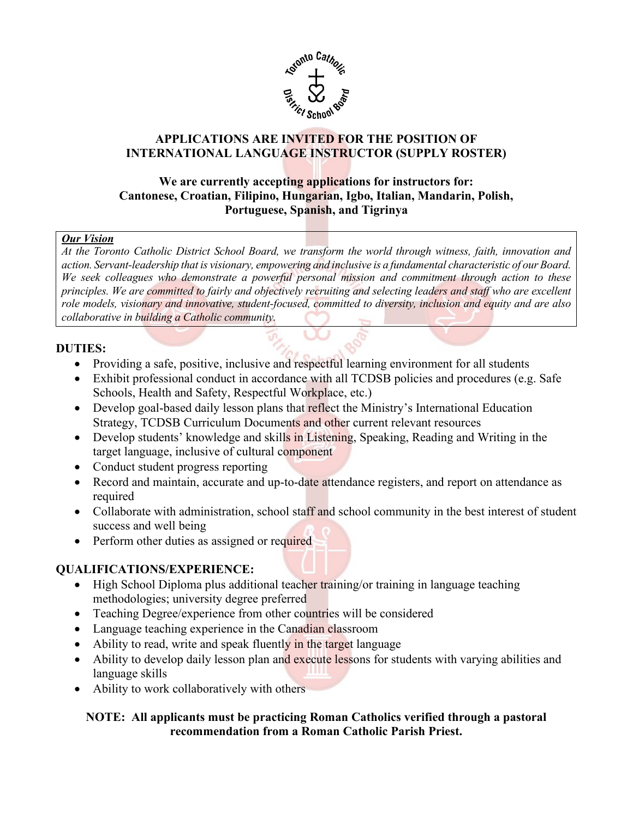

# **APPLICATIONS ARE INVITED FOR THE POSITION OF INTERNATIONAL LANGUAGE INSTRUCTOR (SUPPLY ROSTER)**

### **Cantonese, Croatian, Filipino, Hungarian, Igbo, Italian, Mandarin, Polish, We are currently accepting applications for instructors for: Portuguese, Spanish, and Tigrinya**

### *Our Vision*

action. Servant-leadership that is visionary, empowering and inclusive is a fundamental characteristic of our Board,  *role models, visionary and innovative, student-focused, committed to diversity, inclusion and equity and are also At the Toronto Catholic District School Board, we transform the world through witness, faith, innovation and*  We seek colleagues who demonstrate a powerful personal mission and commitment through action to these *principles. We are committed to fairly and objectively recruiting and selecting leaders and staff who are excellent collaborative in building a Catholic community.* 

### **DUTIES:**

- Providing a safe, positive, inclusive and respectful learning environment for all students
- • Exhibit professional conduct in accordance with all TCDSB policies and procedures (e.g. Safe Schools, Health and Safety, Respectful Workplace, etc.)
- Strategy, TCDSB Curriculum Documents and other current relevant resources • Develop goal-based daily lesson plans that reflect the Ministry's International Education
- target language, inclusive of cultural component • Develop students' knowledge and skills in Listening, Speaking, Reading and Writing in the
- Conduct student progress reporting
- Record and maintain, accurate and up-to-date attendance registers, and report on attendance as required
- success and well being • Collaborate with administration, school staff and school community in the best interest of student
- Perform other duties as assigned or required

## **QUALIFICATIONS/EXPERIENCE:**

- methodologies; university degree preferred • High School Diploma plus additional teacher training/or training in language teaching
- Teaching Degree/experience from other countries will be considered
- Language teaching experience in the Canadian classroom
- Ability to read, write and speak fluently in the target language
- language skills • Ability to develop daily lesson plan and execute lessons for students with varying abilities and
- Ability to work collaboratively with others

## **NOTE: All applicants must be practicing Roman Catholics verified through a pastoral recommendation from a Roman Catholic Parish Priest.**